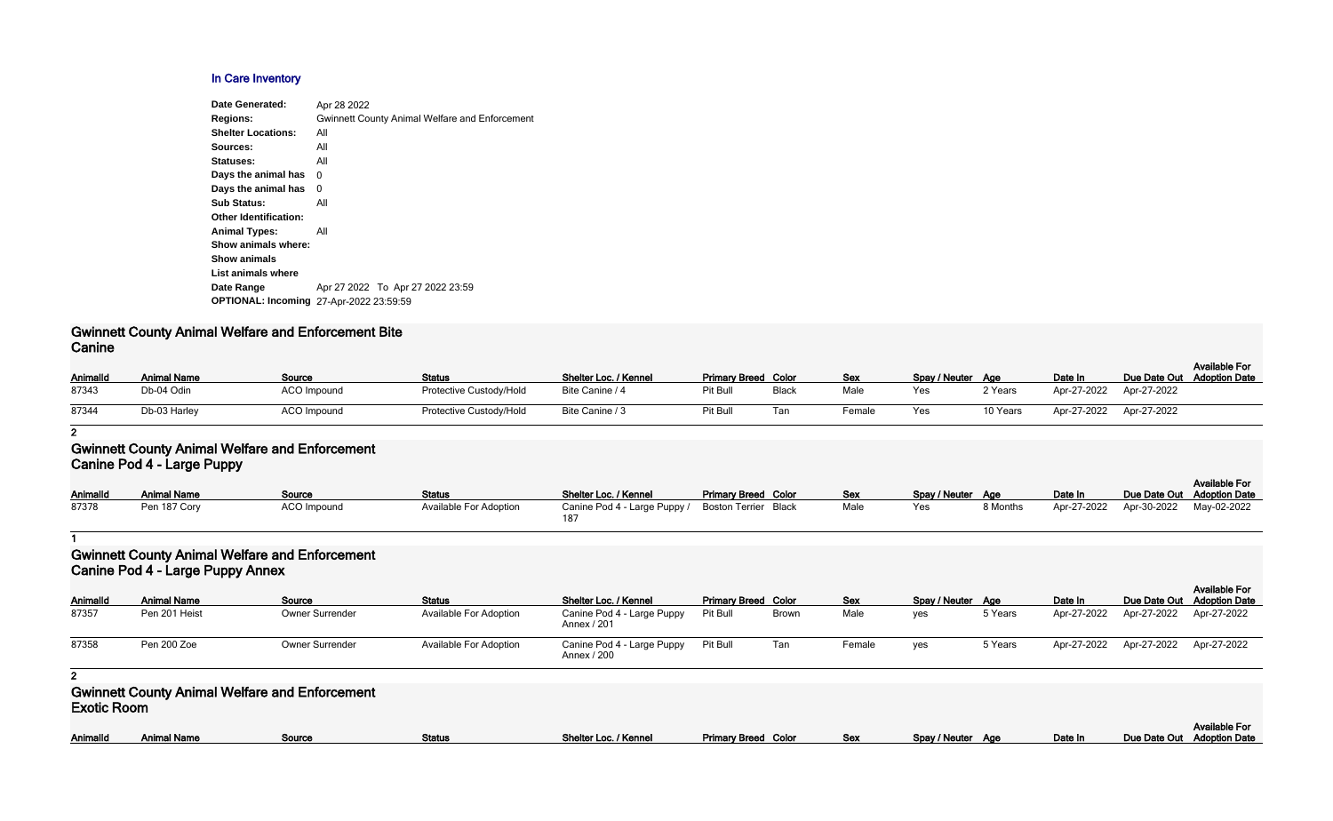### **In Care Inventory**

| <b>Gwinnett County Animal Welfare and Enforcement</b><br><b>Regions:</b> |  |
|--------------------------------------------------------------------------|--|
| <b>Shelter Locations:</b><br>All                                         |  |
| All<br>Sources:                                                          |  |
| Statuses:<br>All                                                         |  |
| Days the animal has<br>0                                                 |  |
| Days the animal has<br>0                                                 |  |
| <b>Sub Status:</b><br>All                                                |  |
| <b>Other Identification:</b>                                             |  |
| <b>Animal Types:</b><br>All                                              |  |
| Show animals where:                                                      |  |
| <b>Show animals</b>                                                      |  |
| List animals where                                                       |  |
| Apr 27 2022 To Apr 27 2022 23:59<br>Date Range                           |  |
| <b>OPTIONAL: Incoming 27-Apr-2022 23:59:59</b>                           |  |

### **Gwinnett County Animal Welfare and Enforcement Bite Canine**

| _______  |                    |                    |                                |                       |                            |       |            |                   |          |             |                         | <b>Available For</b>       |
|----------|--------------------|--------------------|--------------------------------|-----------------------|----------------------------|-------|------------|-------------------|----------|-------------|-------------------------|----------------------------|
| AnimalId | <b>Animal Name</b> | Source             | <b>Status</b>                  | Shelter Loc. / Kennel | <b>Primary Breed Color</b> |       | <b>Sex</b> | Spay / Neuter Age |          | Date In     |                         | Due Date Out Adoption Date |
| 87343    | Db-04 Odin         | <b>ACO</b> Impound | Protective Custody/Hold        | Bite Canine / 4       | Pit Bull                   | Black | Male       | Yes               | 2 Years  | Apr-27-2022 | Apr-27-2022             |                            |
| 87344    | Db-03 Harley       | ACO Impound        | <b>Protective Custody/Hold</b> | Bite Canine / 3       | Pit Bull                   | Tan   | Female     | Yes               | 10 Years |             | Apr-27-2022 Apr-27-2022 |                            |

**2**

## **Gwinnett County Animal Welfare and Enforcement Canine Pod 4 - Large Puppy**

| Animalld | <b>Animal Name</b> | Source      | <b>Status</b>                 | Shelter Loc. / Kennel                             | <b>Primary Breed Color</b> | Sex  | Spay / Neuter Age |          | Date In                             | Due Date Out Adoption Date | Available For |
|----------|--------------------|-------------|-------------------------------|---------------------------------------------------|----------------------------|------|-------------------|----------|-------------------------------------|----------------------------|---------------|
| 87378    | Pen 187 Cory       | ACO Impound | <b>Available For Adoption</b> | Canine Pod 4 - Large Puppy / Boston Terrier Black |                            | Male | Yes               | 8 Months | Apr-27-2022 Apr-30-2022 May-02-2022 |                            |               |

**1**

# **Gwinnett County Animal Welfare and Enforcement Canine Pod 4 - Large Puppy Annex**

| <b>AnimalId</b><br>87357 | <b>Animal Name</b><br>Pen 201 Heist | Source<br>Owner Surrender | <b>Status</b><br><b>Available For Adoption</b> | Shelter Loc. / Kennel<br>Canine Pod 4 - Large Puppy | <b>Primary Breed Color</b><br>Pit Bull | <b>Brown</b> | Sex<br>Male | Spay / Neuter Age<br>ves | 5 Years | Date In<br>Apr-27-2022 | Apr-27-2022             | <b>Available For</b><br>Due Date Out Adoption Date<br>Apr-27-2022 |
|--------------------------|-------------------------------------|---------------------------|------------------------------------------------|-----------------------------------------------------|----------------------------------------|--------------|-------------|--------------------------|---------|------------------------|-------------------------|-------------------------------------------------------------------|
|                          |                                     |                           |                                                | Annex / 201                                         |                                        |              |             |                          |         |                        |                         |                                                                   |
| 87358                    | Pen 200 Zoe                         | Owner Surrender           | <b>Available For Adoption</b>                  | Canine Pod 4 - Large Puppy<br>Annex / 200           | Pit Bull                               | Tan          | Female      | ves                      | 5 Years | Apr-27-2022            | Apr-27-2022 Apr-27-2022 |                                                                   |

**2**

### **Gwinnett County Animal Welfare and Enforcement Exotic Room**

| Animallo | Animal Namr | Source | <b>Status</b> | Shelter Loc. / Kennel | <b>Primary Breed</b><br>Color | Sex | / Neuter<br>Snav<br>Aae | Date In | <b>Date Out</b><br><b>Due</b> |
|----------|-------------|--------|---------------|-----------------------|-------------------------------|-----|-------------------------|---------|-------------------------------|
|          |             |        |               |                       |                               |     |                         |         |                               |

|                   |         | <b>Available For</b>       |
|-------------------|---------|----------------------------|
| Spay / Neuter Age | Date In | Due Date Out Adoption Date |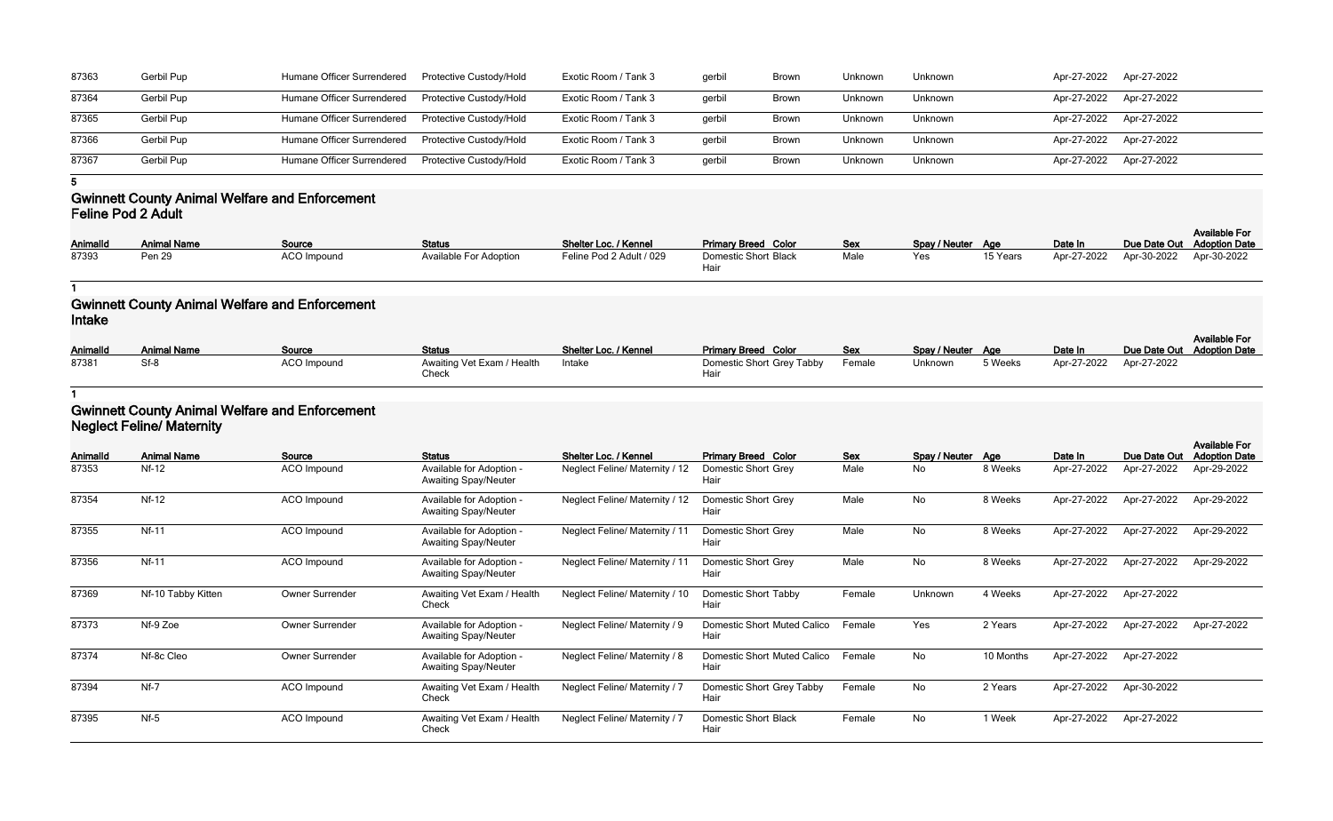| 87363 | Gerbil Pup | Humane Officer Surrendered  Protective Custody/Hold |                                | Exotic Room / Tank 3 | gerbil | <b>Brown</b> | Unknown | Unknown | Apr-27-2022 Apr-27-2022 |  |
|-------|------------|-----------------------------------------------------|--------------------------------|----------------------|--------|--------------|---------|---------|-------------------------|--|
| 87364 | Gerbil Pup | Humane Officer Surrendered                          | <b>Protective Custody/Hold</b> | Exotic Room / Tank 3 | gerbil | <b>Brown</b> | Unknown | Unknown | Apr-27-2022 Apr-27-2022 |  |
| 87365 | Gerbil Pup | Humane Officer Surrendered                          | Protective Custody/Hold        | Exotic Room / Tank 3 | gerbil | <b>Brown</b> | Unknown | Unknown | Apr-27-2022 Apr-27-2022 |  |
| 87366 | Gerbil Pup | <b>Humane Officer Surrendered</b>                   | <b>Protective Custody/Hold</b> | Exotic Room / Tank 3 | gerbil | Brown        | Unknown | Unknown | Apr-27-2022 Apr-27-2022 |  |
| 87367 | Gerbil Pup | Humane Officer Surrendered                          | <b>Protective Custody/Hold</b> | Exotic Room / Tank 3 | gerbil | <b>Brown</b> | Unknown | Unknown | Apr-27-2022 Apr-27-2022 |  |

**5**

### **Gwinnett County Animal Welfare and Enforcement Feline Pod 2 Adult**

| <b>AnimalId</b> | <b>Animal Name</b> | Source      | <b>Status</b>                 | Shelter Loc. / Kennel    | <b>Primary Breed Color</b>  | <b>Sex</b> | Spay / Neuter Age |          | Date In                             | <b>Available For</b><br>Due Date Out Adoption Date |
|-----------------|--------------------|-------------|-------------------------------|--------------------------|-----------------------------|------------|-------------------|----------|-------------------------------------|----------------------------------------------------|
| 87393           | Pen 29             | ACO Impound | <b>Available For Adoption</b> | Feline Pod 2 Adult / 029 | Domestic Short Black<br>Hai | Male       | Yes               | 15 Years | Apr-27-2022 Apr-30-2022 Apr-30-2022 |                                                    |

**1**

# **Gwinnett County Animal Welfare and Enforcement Intake**

| <b>AnimalId</b> | <b>Animal Name</b> | Source             | <b>Status</b>                       | Shelter Loc. / Kennel | <b>Primary Breed Color</b>        | Sex    | Spay / Neuter Age |         | Date In                 | Due Date Out Adoption Date | <b>Available For</b> |
|-----------------|--------------------|--------------------|-------------------------------------|-----------------------|-----------------------------------|--------|-------------------|---------|-------------------------|----------------------------|----------------------|
| 87381           |                    | <b>ACO Impound</b> | Awaiting Vet Exam / Health<br>Check | Intake                | Domestic Short Grey Tabby<br>Hair | Female | Unknown           | 5 Weeks | Apr-27-2022 Apr-27-2022 |                            |                      |

**1**

# **Gwinnett County Animal Welfare and Enforcement Neglect Feline/ Maternity**

| Animalld | <b>Animal Name</b> | Source                 | <b>Status</b>                                           | Shelter Loc. / Kennel          | <b>Primary Breed Color</b>          | Sex    | Spay / Neuter Age |           | Date In     | Due Date Out | <b>Available For</b><br><b>Adoption Date</b> |
|----------|--------------------|------------------------|---------------------------------------------------------|--------------------------------|-------------------------------------|--------|-------------------|-----------|-------------|--------------|----------------------------------------------|
| 87353    | <b>Nf-12</b>       | <b>ACO</b> Impound     | Available for Adoption -<br><b>Awaiting Spay/Neuter</b> | Neglect Feline/ Maternity / 12 | Domestic Short Grey<br>Hair         | Male   | No                | 8 Weeks   | Apr-27-2022 | Apr-27-2022  | Apr-29-2022                                  |
| 87354    | $Nf-12$            | ACO Impound            | Available for Adoption -<br><b>Awaiting Spay/Neuter</b> | Neglect Feline/ Maternity / 12 | Domestic Short Grey<br>Hair         | Male   | No                | 8 Weeks   | Apr-27-2022 | Apr-27-2022  | Apr-29-2022                                  |
| 87355    | <b>Nf-11</b>       | ACO Impound            | Available for Adoption -<br><b>Awaiting Spay/Neuter</b> | Neglect Feline/ Maternity / 11 | Domestic Short Grey<br>Hair         | Male   | No                | 8 Weeks   | Apr-27-2022 | Apr-27-2022  | Apr-29-2022                                  |
| 87356    | <b>Nf-11</b>       | ACO Impound            | Available for Adoption -<br><b>Awaiting Spay/Neuter</b> | Neglect Feline/ Maternity / 11 | Domestic Short Grey<br>Hair         | Male   | No                | 8 Weeks   | Apr-27-2022 | Apr-27-2022  | Apr-29-2022                                  |
| 87369    | Nf-10 Tabby Kitten | Owner Surrender        | Awaiting Vet Exam / Health<br>Check                     | Neglect Feline/ Maternity / 10 | Domestic Short Tabby<br>Hair        | Female | Unknown           | 4 Weeks   | Apr-27-2022 | Apr-27-2022  |                                              |
| 87373    | Nf-9 Zoe           | <b>Owner Surrender</b> | Available for Adoption -<br><b>Awaiting Spay/Neuter</b> | Neglect Feline/ Maternity / 9  | Domestic Short Muted Calico<br>Hair | Female | Yes               | 2 Years   | Apr-27-2022 | Apr-27-2022  | Apr-27-2022                                  |
| 87374    | Nf-8c Cleo         | Owner Surrender        | Available for Adoption -<br><b>Awaiting Spay/Neuter</b> | Neglect Feline/ Maternity / 8  | Domestic Short Muted Calico<br>Hair | Female | No                | 10 Months | Apr-27-2022 | Apr-27-2022  |                                              |
| 87394    | $Nf-7$             | ACO Impound            | Awaiting Vet Exam / Health<br>Check                     | Neglect Feline/ Maternity / 7  | Domestic Short Grey Tabby<br>Hair   | Female | No                | 2 Years   | Apr-27-2022 | Apr-30-2022  |                                              |
| 87395    | $Nf-5$             | ACO Impound            | Awaiting Vet Exam / Health<br>Check                     | Neglect Feline/ Maternity / 7  | Domestic Short Black<br>Hair        | Female | No                | 1 Week    | Apr-27-2022 | Apr-27-2022  |                                              |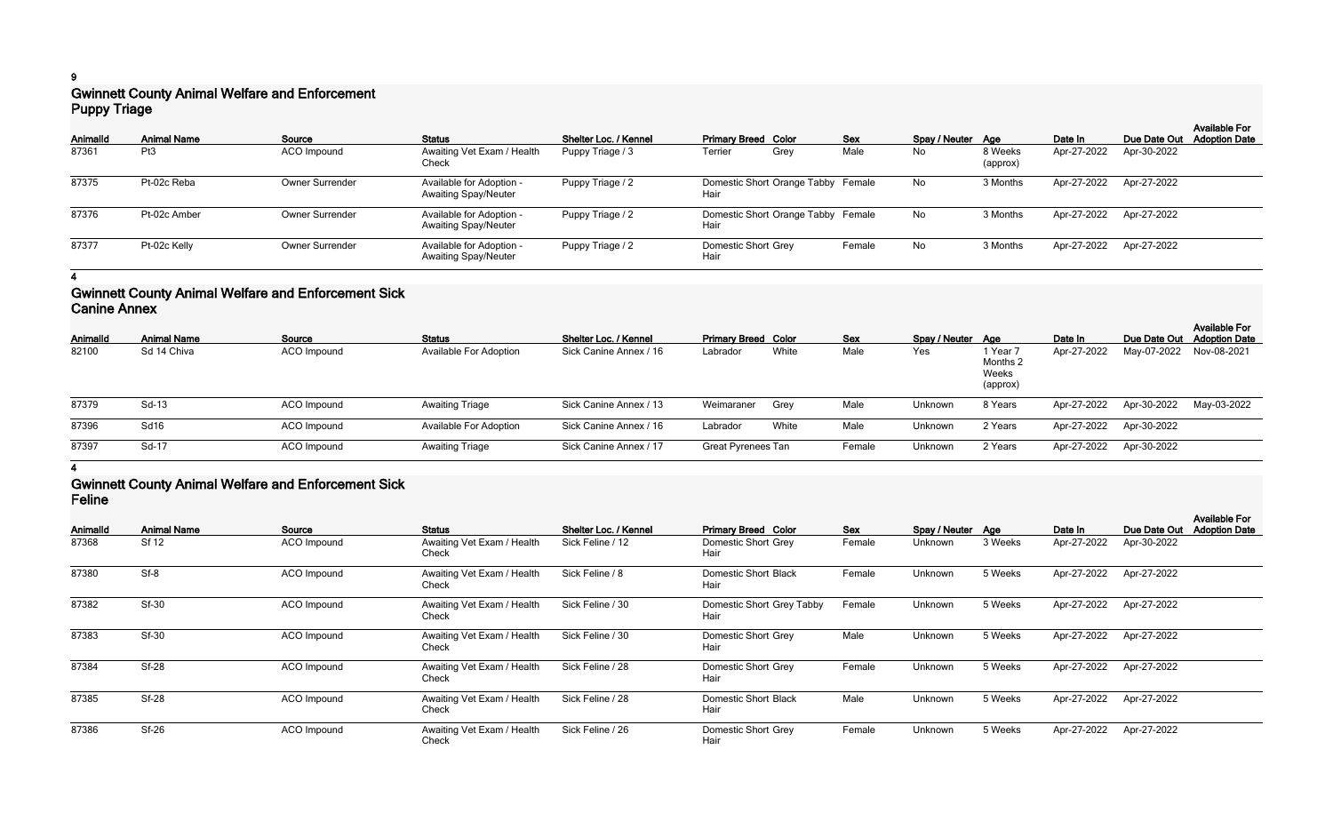### **9**

# **Gwinnett County Animal Welfare and Enforcement Puppy Triage**

| .               | <u>. </u>          |                        |                                                         |                       |                                            |      |            |                   |                     |                         |             |                                                    |
|-----------------|--------------------|------------------------|---------------------------------------------------------|-----------------------|--------------------------------------------|------|------------|-------------------|---------------------|-------------------------|-------------|----------------------------------------------------|
| <b>AnimalId</b> | <b>Animal Name</b> | Source                 | <b>Status</b>                                           | Shelter Loc. / Kennel | <b>Primary Breed Color</b>                 |      | <b>Sex</b> | Spay / Neuter Age |                     | Date In                 |             | <b>Available For</b><br>Due Date Out Adoption Date |
| 87361           | Pt <sub>3</sub>    | ACO Impound            | Awaiting Vet Exam / Health<br>Check                     | Puppy Triage / 3      | Terrier                                    | Grey | Male       | No                | 8 Weeks<br>(approx) | Apr-27-2022             | Apr-30-2022 |                                                    |
| 87375           | Pt-02c Reba        | <b>Owner Surrender</b> | Available for Adoption -<br><b>Awaiting Spay/Neuter</b> | Puppy Triage / 2      | Domestic Short Orange Tabby Female<br>Hair |      |            | No                | 3 Months            | Apr-27-2022             | Apr-27-2022 |                                                    |
| 87376           | Pt-02c Amber       | <b>Owner Surrender</b> | Available for Adoption -<br><b>Awaiting Spay/Neuter</b> | Puppy Triage / 2      | Domestic Short Orange Tabby Female<br>Hair |      |            | No                | 3 Months            | Apr-27-2022             | Apr-27-2022 |                                                    |
| 87377           | Pt-02c Kelly       | <b>Owner Surrender</b> | Available for Adoption -<br><b>Awaiting Spay/Neuter</b> | Puppy Triage / 2      | <b>Domestic Short Grey</b><br>Hair         |      | Female     | No                | 3 Months            | Apr-27-2022 Apr-27-2022 |             |                                                    |

### **4**

### **Gwinnett County Animal Welfare and Enforcement Sick Canine Annex**

| <b>AnimalId</b> | <b>Animal Name</b> | Source      | <b>Status</b>                 | Shelter Loc. / Kennel  | <b>Primary Breed Color</b> |       | <b>Sex</b> | Spay / Neuter Age |                                           | Date In     |             | <b>Available For</b><br>Due Date Out Adoption Date |
|-----------------|--------------------|-------------|-------------------------------|------------------------|----------------------------|-------|------------|-------------------|-------------------------------------------|-------------|-------------|----------------------------------------------------|
| 82100           | Sd 14 Chiva        | ACO Impound | <b>Available For Adoption</b> | Sick Canine Annex / 16 | Labrador                   | White | Male       | Yes               | 1 Year 7<br>Months 2<br>Weeks<br>(approx) | Apr-27-2022 | May-07-2022 | Nov-08-2021                                        |
| 87379           | Sd-13              | ACO Impound | <b>Awaiting Triage</b>        | Sick Canine Annex / 13 | Weimaraner                 | Grey  | Male       | Unknown           | 8 Years                                   | Apr-27-2022 | Apr-30-2022 | May-03-2022                                        |
| 87396           | <b>Sd16</b>        | ACO Impound | <b>Available For Adoption</b> | Sick Canine Annex / 16 | Labrador                   | White | Male       | Unknown           | 2 Years                                   | Apr-27-2022 | Apr-30-2022 |                                                    |
| 87397           | Sd-17              | ACO Impound | <b>Awaiting Triage</b>        | Sick Canine Annex / 17 | <b>Great Pyrenees Tan</b>  |       | Female     | Unknown           | 2 Years                                   | Apr-27-2022 | Apr-30-2022 |                                                    |
|                 |                    |             |                               |                        |                            |       |            |                   |                                           |             |             |                                                    |

#### **4**

# **Gwinnett County Animal Welfare and Enforcement Sick Feline**

| AnimalId | <b>Animal Name</b> | Source      | <b>Status</b>                       | Shelter Loc. / Kennel | <b>Primary Breed Color</b>        | <b>Sex</b> | Spay / Neuter Age |         | Date In     | Due Date Out | <b>Available For</b><br><b>Adoption Date</b> |
|----------|--------------------|-------------|-------------------------------------|-----------------------|-----------------------------------|------------|-------------------|---------|-------------|--------------|----------------------------------------------|
| 87368    | <b>Sf 12</b>       | ACO Impound | Awaiting Vet Exam / Health<br>Check | Sick Feline / 12      | Domestic Short Grey<br>Hair       | Female     | Unknown           | 3 Weeks | Apr-27-2022 | Apr-30-2022  |                                              |
| 87380    | Sf-8               | ACO Impound | Awaiting Vet Exam / Health<br>Check | Sick Feline / 8       | Domestic Short Black<br>Hair      | Female     | Unknown           | 5 Weeks | Apr-27-2022 | Apr-27-2022  |                                              |
| 87382    | <b>Sf-30</b>       | ACO Impound | Awaiting Vet Exam / Health<br>Check | Sick Feline / 30      | Domestic Short Grey Tabby<br>Hair | Female     | Unknown           | 5 Weeks | Apr-27-2022 | Apr-27-2022  |                                              |
| 87383    | <b>Sf-30</b>       | ACO Impound | Awaiting Vet Exam / Health<br>Check | Sick Feline / 30      | Domestic Short Grey<br>Hair       | Male       | Unknown           | 5 Weeks | Apr-27-2022 | Apr-27-2022  |                                              |
| 87384    | <b>Sf-28</b>       | ACO Impound | Awaiting Vet Exam / Health<br>Check | Sick Feline / 28      | Domestic Short Grey<br>Hair       | Female     | Unknown           | 5 Weeks | Apr-27-2022 | Apr-27-2022  |                                              |
| 87385    | <b>Sf-28</b>       | ACO Impound | Awaiting Vet Exam / Health<br>Check | Sick Feline / 28      | Domestic Short Black<br>Hair      | Male       | Unknown           | 5 Weeks | Apr-27-2022 | Apr-27-2022  |                                              |
| 87386    | $Sf-26$            | ACO Impound | Awaiting Vet Exam / Health<br>Check | Sick Feline / 26      | Domestic Short Grey<br>Hair       | Female     | Unknown           | 5 Weeks | Apr-27-2022 | Apr-27-2022  |                                              |